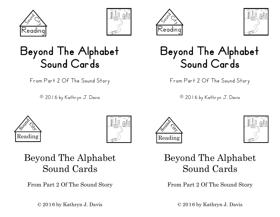







#### Beyond The Alphabet Sound Cards

From Part 2 Of The Sound Story

© 2016 by Kathryn J. Davis



From Part 2 Of The Sound Story

1 1 © 2016 by Kathryn J. Davis









#### Beyond The Alphabet Sound Cards

From Part 2 Of The Sound Story

© 2016 by Kathryn J. Davis

#### Beyond The Alphabet Sound Cards

From Part 2 Of The Sound Story

 $\odot$  2016 by Kathryn J. Davis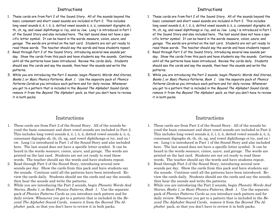#### **Tnstructions**

- 1. These cards are from Part 2 of the Sound Story. All of the sounds beyond the basic consonant and short vowel sounds are included in Part 2. This includes long vowel sounds ā, ē, ī, ō, ū, dotted vowel sounds ä, ö, ü, consonant digraphs sh, th, ch, ng, and vowel diphthongs oi /oy, and ou /ow. Long ī is introduced in Part 1 of the Sound Story and also included here. The last sound does not have a specific letter symbol. It can be heard in the words measure, vision, azure, and garage. The words are printed on the last card. Students are not yet ready to read these words. The teacher should say the words and have students repeat.
- 2. Read through Part 2 of the Sound Story, introducing several new sounds per day. Show the cards from this pack and have students say the sounds. Continue until all the patterns have been introduced. Review the cards daily. Students should see the cards and say the sounds, then hear the sounds and write the patterns.
- 3. While you are introducing the Part 2 sounds, begin Phonetic Words And Stories, Books 1, or Basic Phonics Patterns, Book 1. Use the separate pack of Phonics Patterns Cards as you introduce each pattern and for daily review. Whenever you get to a pattern that is included in the Beyond The Alphabet Sound Cards, remove it from the Beyond The Alphabet pack, so that you don't have to review it in both packs.

#### Instructions

- 1. These cards are from Part 2 of the Sound Story. All of the sounds beyond the basic consonant and short vowel sounds are included in Part 2. This includes long vowel sounds ā, ē, ī, ō, ū, dotted vowel sounds ä, ö, ü, consonant digraphs sh, th, ch, ng, and vowel diphthongs oi /oy, and ou / ow. Long ī is introduced in Part 1 of the Sound Story and also included here. The last sound does not have a specific letter symbol. It can be heard in the words *measure*, *vision*, *azure*, and *garage*. The words are printed on the last card. Students are not yet ready to read these words. The teacher should say the words and have students repeat.
- 2. Read through Part 2 of the Sound Story, introducing several new sounds per day. Show the cards from this pack and have students say the sounds. Continue until all the patterns have been introduced. Review the cards daily. Students should see the cards and say the sounds, then hear the sounds and write the patterns.
- 3. While you are introducing the Part 2 sounds, begin *Phonetic Words And Stories*, *Books 1*, or *Basic Phonics Patterns, Book 1.* Use the separate pack of *Phonics Patterns Cards* as you introduce each pattern and for daily review. Whenever you get to a pattern that is included in the *Beyond The Alphabet Sound Cards*, remove it from the *Beyond The Alphabet* pack, so that you don't have to review it in both packs.

#### **Tnstructions**

- 1. These cards are from Part 2 of the Sound Story. All of the sounds beyond the basic consonant and short vowel sounds are included in Part 2. This includes long vowel sounds ā, ē, ī, ō, ū, dotted vowel sounds ä, ö, ü, consonant digraphs sh, th, ch, ng, and vowel diphthongs oi /oy, and ou /ow. Long ī is introduced in Part 1 of the Sound Story and also included here. The last sound does not have a specific letter symbol. It can be heard in the words measure, vision, azure, and garage. The words are printed on the last card. Students are not yet ready to read these words. The teacher should say the words and have students repeat.
- 2. Read through Part 2 of the Sound Story, introducing several new sounds per day. Show the cards from this pack and have students say the sounds. Continue until all the patterns have been introduced. Review the cards daily. Students should see the cards and say the sounds, then hear the sounds and write the patterns.
- 3. While you are introducing the Part 2 sounds, begin Phonetic Words And Stories, Books 1, or Basic Phonics Patterns, Book 1. Use the separate pack of Phonics Patterns Cards as you introduce each pattern and for daily review. Whenever you get to a pattern that is included in the Beyond The Alphabet Sound Cards, remove it from the Beyond The Alphabet pack, so that you don't have to review it in both packs.

#### Instructions

- 1. These cards are from Part 2 of the Sound Story. All of the sounds beyond the basic consonant and short vowel sounds are included in Part 2. This includes long vowel sounds ā, ē, ī, ō, ū, dotted vowel sounds ä, ö, ü, consonant digraphs sh, th, ch, ng, and vowel diphthongs oi /oy, and ou / ow. Long ī is introduced in Part 1 of the Sound Story and also included here. The last sound does not have a specific letter symbol. It can be heard in the words *measure*, *vision*, *azure*, and *garage*. The words are printed on the last card. Students are not yet ready to read these words. The teacher should say the words and have students repeat.
- 2. Read through Part 2 of the Sound Story, introducing several new sounds per day. Show the cards from this pack and have students say the sounds. Continue until all the patterns have been introduced. Review the cards daily. Students should see the cards and say the sounds, then hear the sounds and write the patterns.
- 3. While you are introducing the Part 2 sounds, begin *Phonetic Words And Stories*, *Books 1*, or *Basic Phonics Patterns, Book 1.* Use the separate pack of *Phonics Patterns Cards* as you introduce each pattern and for daily review. Whenever you get to a pattern that is included in the *Beyond The Alphabet Sound Cards*, remove it from the *Beyond The Alphabet* pack, so that you don't have to review it in both packs.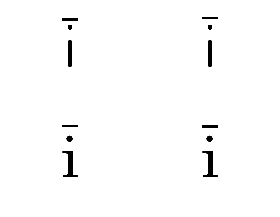$\begin{array}{c} \hline \end{array}$  $\begin{array}{c} \hline \end{array}$  $\overline{1}$  $\mathbf{1}$ 

 $\mathbf{1}$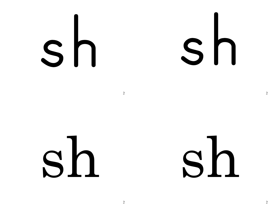# Sh

sh

## sh

 $\overline{2}$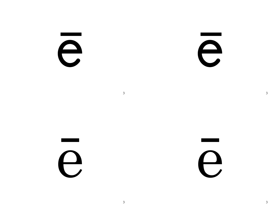e

e

e

e

 $\overline{3}$ 

 $\overline{3}$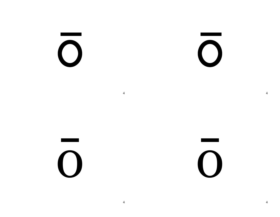$\bigcirc$ 

 $\bigcirc$ 

 $\overline{O}$ 

 $\bigcirc$ 

 $\overline{4}$ 

 $\overline{4}$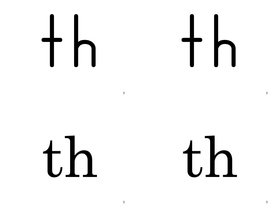th

 $th$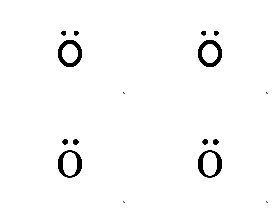$\ddot{\textbf{O}}$ 

 $\ddot{\textbf{O}}$ 

 $\ddot{\textbf{0}}$ 

 $\ddot{\textbf{O}}$ 

6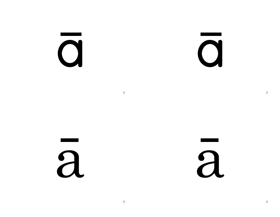$\mathbf{C}$ 

 $\overline{O}$ 

 $\overline{a}$ 

 $\overline{a}$ 

 $7\overline{ }$ 

 $7\overline{ }$ 

 $\overline{7}$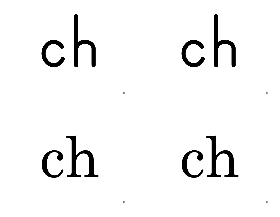# 

ch ch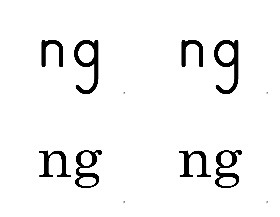ng

## ng

ng

### ng

 $\mathbf Q$ 

 $\mathbf Q$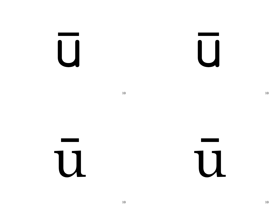$\overline{\bigcup}$ 

 $\overline{\mathsf{I}}$ 

 $10\,$ 



11

 $10\,$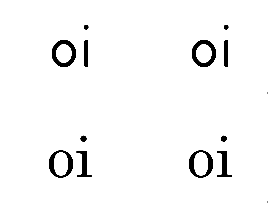## $\bigcirc$

 $\bigcirc$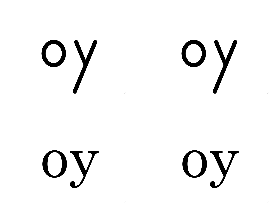OY<br>V

OY<br>V

Oy

Oy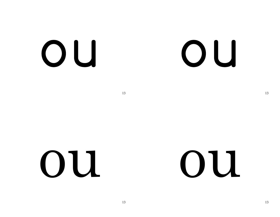OU

### OU

13

OU

### OU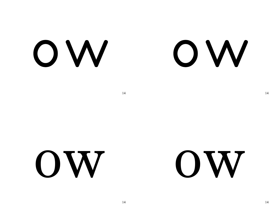OW

### OW

14 14

### ow ow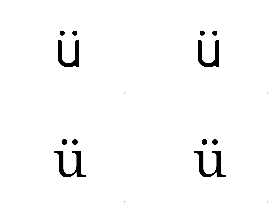$\begin{bmatrix} 0 \\ 1 \end{bmatrix}$ 

 $\begin{bmatrix} 0 \\ 1 \end{bmatrix}$ 

15

 $\bullet$ 11

 $\bullet$ 11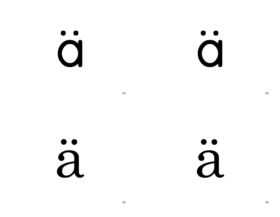#### $\bullet$ O

 $\bullet$   $\bullet$  $\mathbf O$ 

16

a

### $\bullet$  $\overline{a}$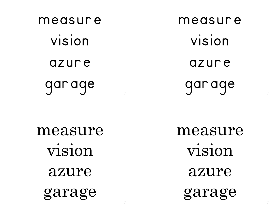measure vision azure garage measure vision

azure

garage

measure vision azure garage

measure

vision

azure

garage